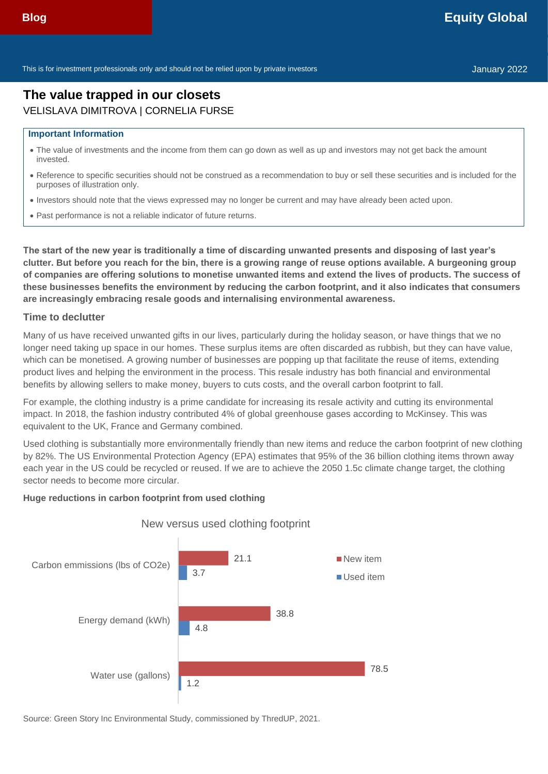This is for investment professionals only and should not be relied upon by private investors Theorem Communication of the United States of the United States January 2022

# **The value trapped in our closets** VELISLAVA DIMITROVA | CORNELIA FURSE

#### **Important Information**

- The value of investments and the income from them can go down as well as up and investors may not get back the amount invested.
- Reference to specific securities should not be construed as a recommendation to buy or sell these securities and is included for the purposes of illustration only.
- Investors should note that the views expressed may no longer be current and may have already been acted upon.
- Past performance is not a reliable indicator of future returns.

**The start of the new year is traditionally a time of discarding unwanted presents and disposing of last year's clutter. But before you reach for the bin, there is a growing range of reuse options available. A burgeoning group of companies are offering solutions to monetise unwanted items and extend the lives of products. The success of these businesses benefits the environment by reducing the carbon footprint, and it also indicates that consumers are increasingly embracing resale goods and internalising environmental awareness.**

#### **Time to declutter**

Many of us have received unwanted gifts in our lives, particularly during the holiday season, or have things that we no longer need taking up space in our homes. These surplus items are often discarded as rubbish, but they can have value, which can be monetised. A growing number of businesses are popping up that facilitate the reuse of items, extending product lives and helping the environment in the process. This resale industry has both financial and environmental benefits by allowing sellers to make money, buyers to cuts costs, and the overall carbon footprint to fall.

For example, the clothing industry is a prime candidate for increasing its resale activity and cutting its environmental impact. In 2018, the fashion industry contributed 4% of global greenhouse gases according to McKinsey. This was equivalent to the UK, France and Germany combined.

Used clothing is substantially more environmentally friendly than new items and reduce the carbon footprint of new clothing by 82%. The US Environmental Protection Agency (EPA) estimates that 95% of the 36 billion clothing items thrown away each year in the US could be recycled or reused. If we are to achieve the 2050 1.5c climate change target, the clothing sector needs to become more circular.

#### **Huge reductions in carbon footprint from used clothing**



#### New versus used clothing footprint

Source: Green Story Inc Environmental Study, commissioned by ThredUP, 2021.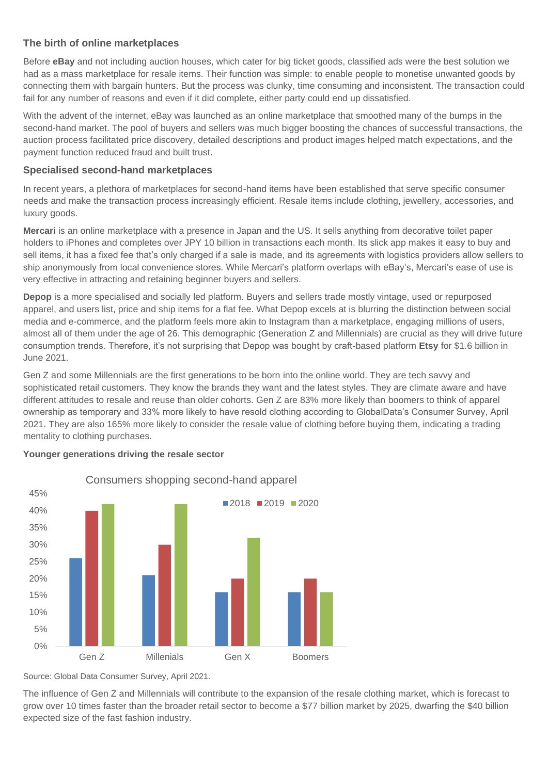## **The birth of online marketplaces**

Before **eBay** and not including auction houses, which cater for big ticket goods, classified ads were the best solution we had as a mass marketplace for resale items. Their function was simple: to enable people to monetise unwanted goods by connecting them with bargain hunters. But the process was clunky, time consuming and inconsistent. The transaction could fail for any number of reasons and even if it did complete, either party could end up dissatisfied.

With the advent of the internet, eBay was launched as an online marketplace that smoothed many of the bumps in the second-hand market. The pool of buyers and sellers was much bigger boosting the chances of successful transactions, the auction process facilitated price discovery, detailed descriptions and product images helped match expectations, and the payment function reduced fraud and built trust.

### **Specialised second-hand marketplaces**

In recent years, a plethora of marketplaces for second-hand items have been established that serve specific consumer needs and make the transaction process increasingly efficient. Resale items include clothing, jewellery, accessories, and luxury goods.

**Mercari** is an online marketplace with a presence in Japan and the US. It sells anything from decorative toilet paper holders to iPhones and completes over JPY 10 billion in transactions each month. Its slick app makes it easy to buy and sell items, it has a fixed fee that's only charged if a sale is made, and its agreements with logistics providers allow sellers to ship anonymously from local convenience stores. While Mercari's platform overlaps with eBay's, Mercari's ease of use is very effective in attracting and retaining beginner buyers and sellers.

**Depop** is a more specialised and socially led platform. Buyers and sellers trade mostly vintage, used or repurposed apparel, and users list, price and ship items for a flat fee. What Depop excels at is blurring the distinction between social media and e-commerce, and the platform feels more akin to Instagram than a marketplace, engaging millions of users, almost all of them under the age of 26. This demographic (Generation Z and Millennials) are crucial as they will drive future consumption trends. Therefore, it's not surprising that Depop was bought by craft-based platform **Etsy** for \$1.6 billion in June 2021.

Gen Z and some Millennials are the first generations to be born into the online world. They are tech savvy and sophisticated retail customers. They know the brands they want and the latest styles. They are climate aware and have different attitudes to resale and reuse than older cohorts. Gen Z are 83% more likely than boomers to think of apparel ownership as temporary and 33% more likely to have resold clothing according to GlobalData's Consumer Survey, April 2021. They are also 165% more likely to consider the resale value of clothing before buying them, indicating a trading mentality to clothing purchases.



### **Younger generations driving the resale sector**

Source: Global Data Consumer Survey, April 2021.

The influence of Gen Z and Millennials will contribute to the expansion of the resale clothing market, which is forecast to grow over 10 times faster than the broader retail sector to become a \$77 billion market by 2025, dwarfing the \$40 billion expected size of the fast fashion industry.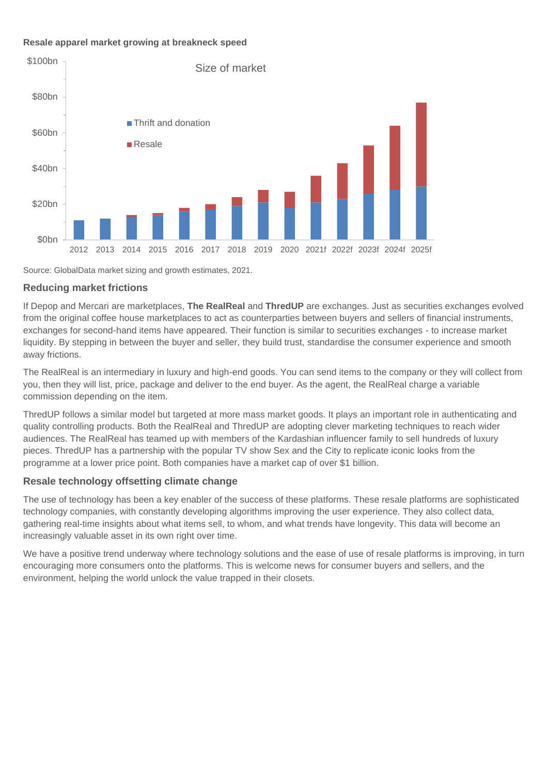### **Resale apparel market growing at breakneck speed**



Source: GlobalData market sizing and growth estimates, 2021.

#### **Reducing market frictions**

If Depop and Mercari are marketplaces, **The RealReal** and **ThredUP** are exchanges. Just as securities exchanges evolved from the original coffee house marketplaces to act as counterparties between buyers and sellers of financial instruments, exchanges for second-hand items have appeared. Their function is similar to securities exchanges - to increase market liquidity. By stepping in between the buyer and seller, they build trust, standardise the consumer experience and smooth away frictions.

The RealReal is an intermediary in luxury and high-end goods. You can send items to the company or they will collect from you, then they will list, price, package and deliver to the end buyer. As the agent, the RealReal charge a variable commission depending on the item.

ThredUP follows a similar model but targeted at more mass market goods. It plays an important role in authenticating and quality controlling products. Both the RealReal and ThredUP are adopting clever marketing techniques to reach wider audiences. The RealReal has teamed up with members of the Kardashian influencer family to sell hundreds of luxury pieces. ThredUP has a partnership with the popular TV show Sex and the City to replicate iconic looks from the programme at a lower price point. Both companies have a market cap of over \$1 billion.

### **Resale technology offsetting climate change**

The use of technology has been a key enabler of the success of these platforms. These resale platforms are sophisticated technology companies, with constantly developing algorithms improving the user experience. They also collect data, gathering real-time insights about what items sell, to whom, and what trends have longevity. This data will become an increasingly valuable asset in its own right over time.

We have a positive trend underway where technology solutions and the ease of use of resale platforms is improving, in turn encouraging more consumers onto the platforms. This is welcome news for consumer buyers and sellers, and the environment, helping the world unlock the value trapped in their closets.